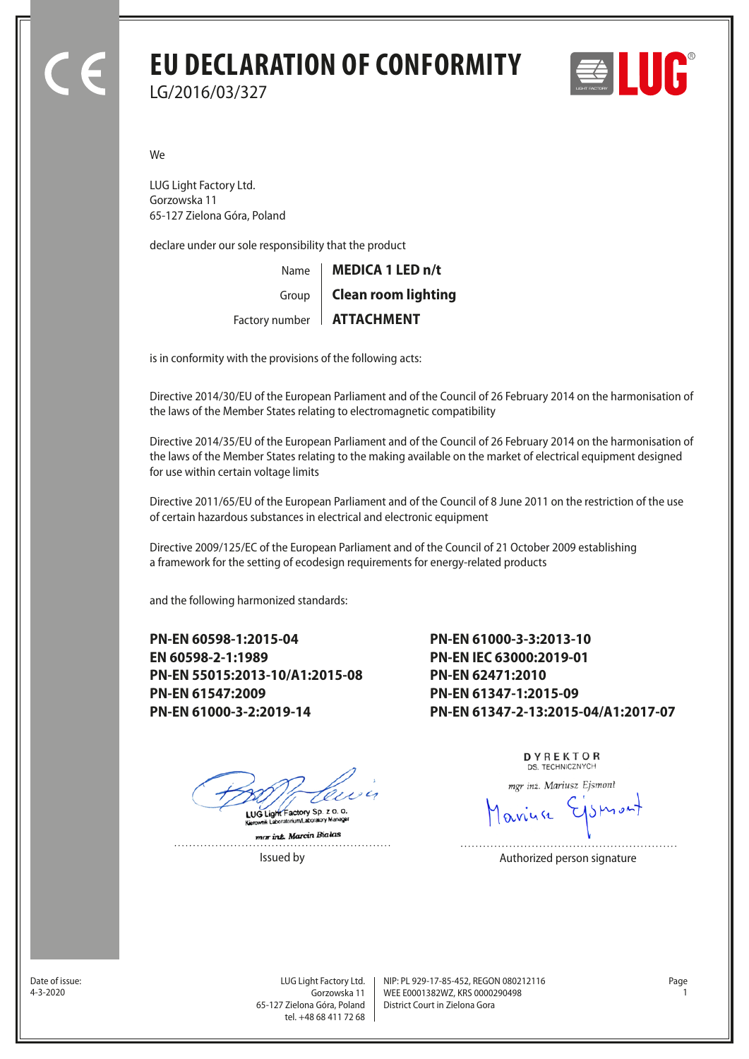## **EU DECLARATION OF CONFORMITY** LG/2016/03/327



We

LUG Light Factory Ltd. Gorzowska 11 65-127 Zielona Góra, Poland

declare under our sole responsibility that the product

| Name   MEDICA 1 LED n/t     |
|-----------------------------|
| Group   Clean room lighting |
| Factory number   ATTACHMENT |

is in conformity with the provisions of the following acts:

Directive 2014/30/EU of the European Parliament and of the Council of 26 February 2014 on the harmonisation of the laws of the Member States relating to electromagnetic compatibility

Directive 2014/35/EU of the European Parliament and of the Council of 26 February 2014 on the harmonisation of the laws of the Member States relating to the making available on the market of electrical equipment designed for use within certain voltage limits

Directive 2011/65/EU of the European Parliament and of the Council of 8 June 2011 on the restriction of the use of certain hazardous substances in electrical and electronic equipment

Directive 2009/125/EC of the European Parliament and of the Council of 21 October 2009 establishing a framework for the setting of ecodesign requirements for energy-related products

and the following harmonized standards:

**PN-EN 60598-1:2015-04 EN 60598-2-1:1989 PN-EN 55015:2013-10/A1:2015-08 PN-EN 61547:2009 PN-EN 61000-3-2:2019-14**

**PN-EN 61000-3-3:2013-10 PN-EN IEC 63000:2019-01 PN-EN 62471:2010 PN-EN 61347-1:2015-09 PN-EN 61347-2-13:2015-04/A1:2017-07**

LUG Light Factory Sp. z o. o.

mar int. Marcin Bialas  DYREKTOR DS. TECHNICZNYCH

mgr inż. Mariusz Ejsmont

Issued by **Authorized person signature** 

Date of issue:<br>4-3-2020

Gorzowska 11 65-127 Zielona Góra, Poland tel. +48 68 411 72 68

LUG Light Factory Ltd. Page NIP: PL 929-17-85-452, REGON 080212116 WEE E0001382WZ, KRS 0000290498 4-3-2020 1 District Court in Zielona Gora